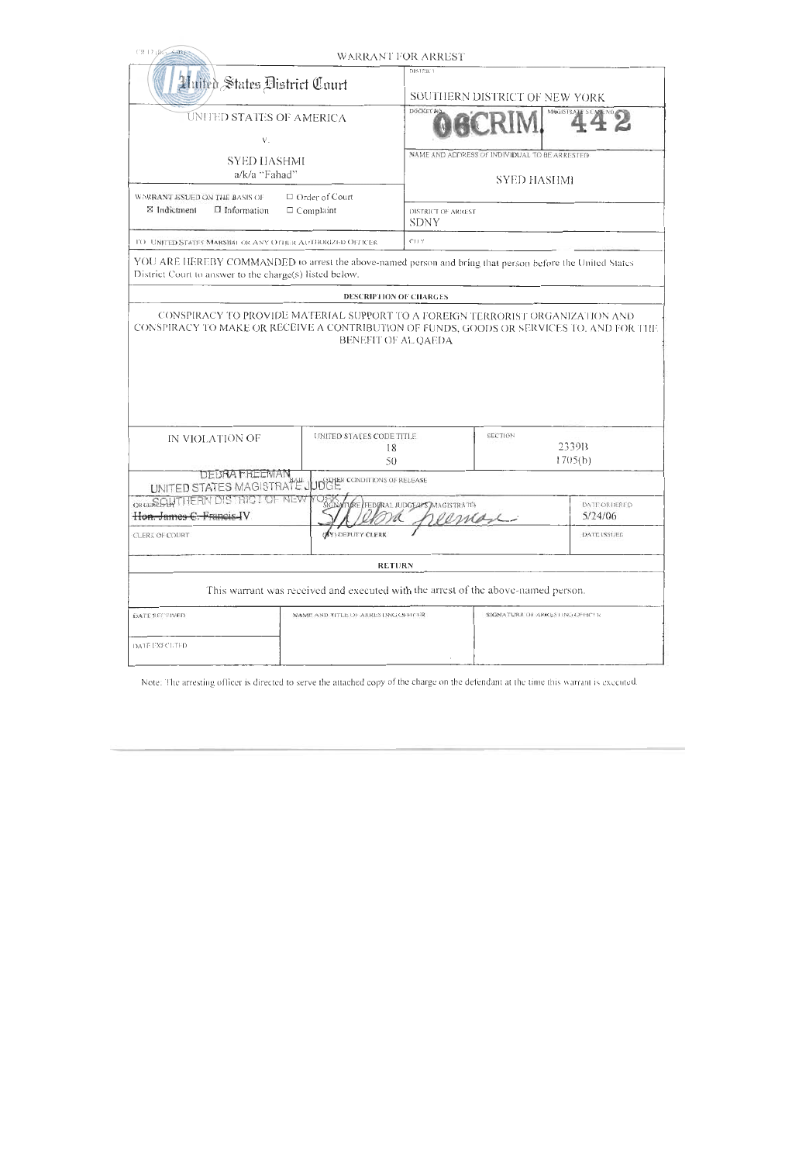| CR 12 ROLAND                                                                                                                                                        |                                                                                   | <b>WARRANT FOR ARREST</b>                                           |                                |                                    |  |  |
|---------------------------------------------------------------------------------------------------------------------------------------------------------------------|-----------------------------------------------------------------------------------|---------------------------------------------------------------------|--------------------------------|------------------------------------|--|--|
| Huffes States District Court                                                                                                                                        |                                                                                   | DISTRICT<br>SOUTHERN DISTRICT OF NEW YORK                           |                                |                                    |  |  |
| UNITED STATES OF AMERICA<br>$V_{\odot}$                                                                                                                             |                                                                                   | DOCKET NO                                                           |                                | MAGISTRATE S U                     |  |  |
| <b>SYED HASHMI</b><br>a/k/a "Fahad"                                                                                                                                 |                                                                                   | NAME AND ADDRESS OF INDIVIDUAL TO BE ARRESTED<br><b>SYED HASHMI</b> |                                |                                    |  |  |
| $\Box$ Order of Court<br>WARRANT ISSUED ON THE BASIS OF<br>⊠ Indictment<br>$\Box$ Information<br>$\Box$ Complaint                                                   |                                                                                   | <b>DISTRICT OF ARREST</b><br><b>SDNY</b>                            |                                |                                    |  |  |
| TO UNITED STATES MARSHAL OR ANY OTHER AUTHORIZED OFFICER                                                                                                            |                                                                                   | C11Y                                                                |                                |                                    |  |  |
| YOU ARE HEREBY COMMANDED to arrest the above-named person and bring that person before the United States<br>District Court to answer to the charge(s) listed below. |                                                                                   |                                                                     |                                |                                    |  |  |
|                                                                                                                                                                     | <b>DESCRIPTION OF CHARGES</b>                                                     |                                                                     |                                |                                    |  |  |
|                                                                                                                                                                     |                                                                                   |                                                                     |                                |                                    |  |  |
| IN VIOLATION OF                                                                                                                                                     | <b>UNITED STATES CODE TITLE</b>                                                   | 18<br>50                                                            |                                | <b>SECTION</b><br>2339B<br>1705(b) |  |  |
| <b>DEBRA FREEMAN</b><br>UNITED STATES MAGISTRATE JUDGE CONDITIONS OF RELEASE                                                                                        |                                                                                   |                                                                     |                                |                                    |  |  |
| ORDEREGINTHERN DISTRICT OF NEW<br>Hon. James C. Francis IV                                                                                                          | SIGNATURE FEDURAL JUDGEALS MAGISTRATE<br>remon                                    |                                                                     |                                | <b>DATE ORDERED</b><br>5/24/06     |  |  |
| CLERK OF COURT                                                                                                                                                      | (BY) DEPUTY CLERK                                                                 |                                                                     |                                | DATE ISSUED                        |  |  |
|                                                                                                                                                                     | <b>RETURN</b>                                                                     |                                                                     |                                |                                    |  |  |
|                                                                                                                                                                     | This warrant was received and executed with the arrest of the above-named person. |                                                                     |                                |                                    |  |  |
| <b>DATE RECEIVED</b>                                                                                                                                                | NAME AND TITLE OF ARRESTING OFFICER                                               |                                                                     | SIGNATURE OF ARRESTING OFFICER |                                    |  |  |
| DATE EXECUTED                                                                                                                                                       |                                                                                   |                                                                     |                                |                                    |  |  |

Note: The arresting officer is directed to serve the attached copy of the charge on the defendant at the time this warrant is executed.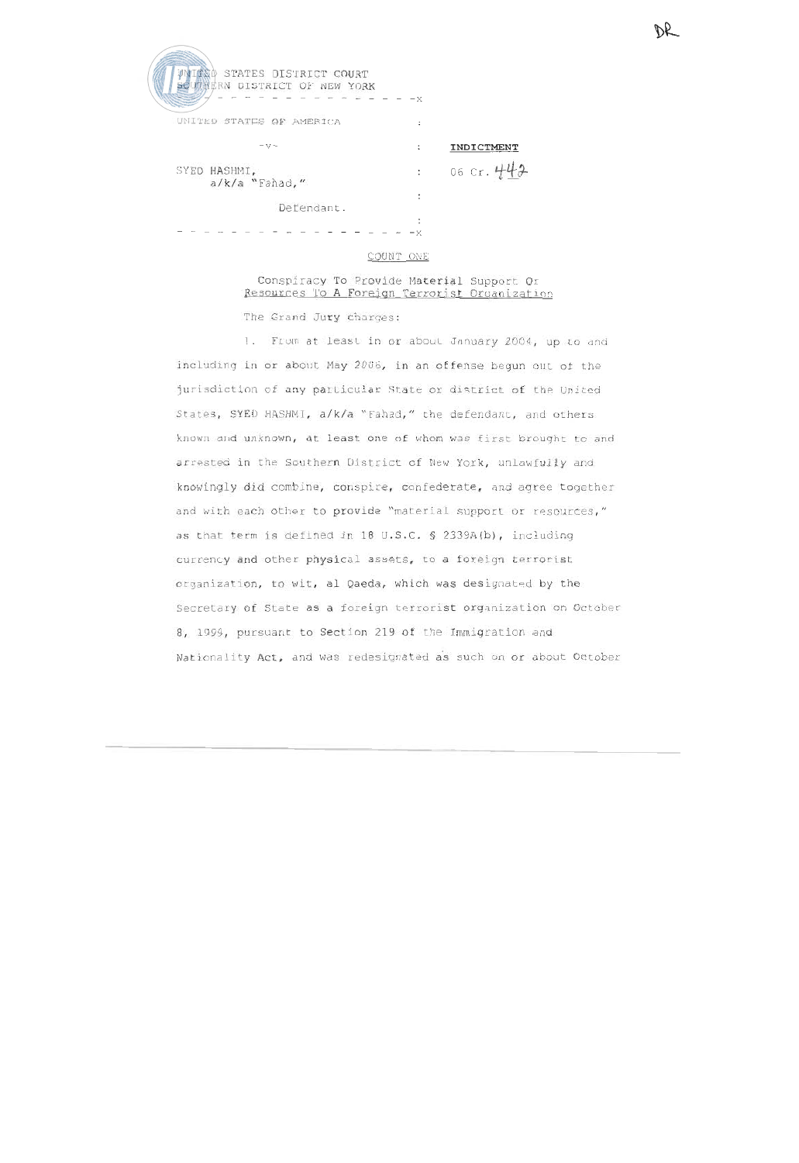| <b>HAND STATES DISTRICT COURT</b><br>UTRERN DISTRICT OF NEW YORK | -x     |              |
|------------------------------------------------------------------|--------|--------------|
| UNITED STATES OF AMERICA                                         | ÷      |              |
| $ V -$                                                           | :      | INDICTMENT   |
| SYED HASHMI,<br>a/k/a "Fahad,"                                   | t      | 06 Cr. $442$ |
| Defendant.                                                       |        |              |
|                                                                  | ٠<br>x |              |

### COUNT ONE

## Conspiracy To Provide Material Support Or Resources To A Foreign Terrorist Organization

The Grand Jury charges:

1. From at least in or about January 2004, up to and including in or about May 2006, in an offense begun out of the jurisdiction of any particular State or district of the United States, SYED HASHMI, a/k/a "Fahad," the defendant, and others known and unknown, at least one of whom was first brought to and arrested in the Southern District of New York, unlawfully and knowingly did combine, conspire, confederate, and agree together and with each other to provide "material support or resources," as that term is defined in 18 U.S.C. § 2339A(b), including currency and other physical assets, to a foreign terrorist organization, to wit, al Qaeda, which was designated by the Secretary of State as a foreign terrorist organization on October 8, 1999, pursuant to Section 219 of the Immigration and Nationality Act, and was redesignated as such on or about October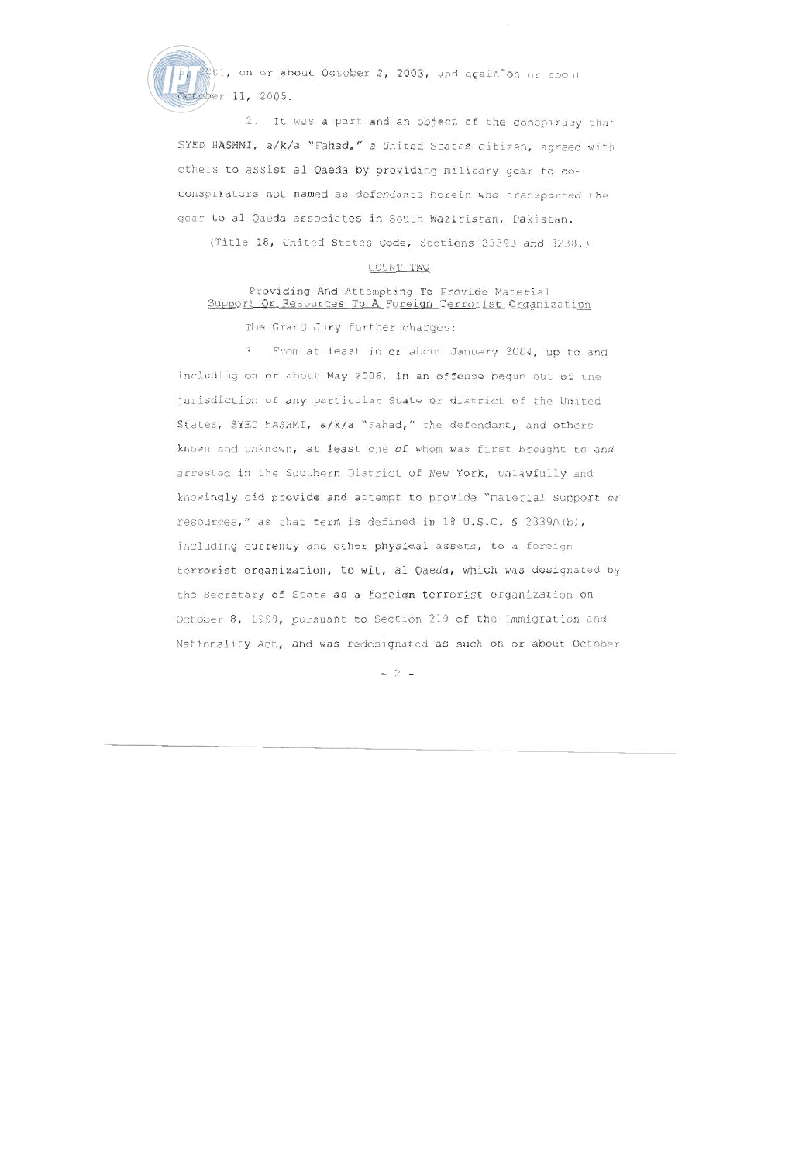(1, on or about October 2, 2003, and again on or about tøber 11, 2005.

2. It was a part and an object of the conspiracy that SYED HASHMI, a/k/a "Fahad," a United States citizen, agreed with others to assist al Qaeda by providing military gear to coconspirators not named as defendants herein who transported the gear to al Qaeda associates in South Waziristan, Pakistan.

(Title 18, United States Code, Sections 2339B and 3238.)

## COUNT TWO

# Providing And Attempting To Provide Material Support Or Resources To A Foreign Terrorist Organization

The Grand Jury further charges:

3. From at least in or about January 2004, up to and including on or about May 2006, in an offense begun out of the jurisdiction of any particular State or district of the United States, SYED HASHMI, a/k/a "Fahad," the defendant, and others known and unknown, at least one of whom was first brought to and arrested in the Southern District of New York, unlawfully and knowingly did provide and attempt to provide "material support or resources," as that term is defined in 18 U.S.C. § 2339A(b), including currency and other physical assets, to a foreign terrorist organization, to wit, al Qaeda, which was designated by the Secretary of State as a foreign terrorist organization on October 8, 1999, pursuant to Section 219 of the Immigration and Nationality Act, and was redesignated as such on or about October

 $-2 -$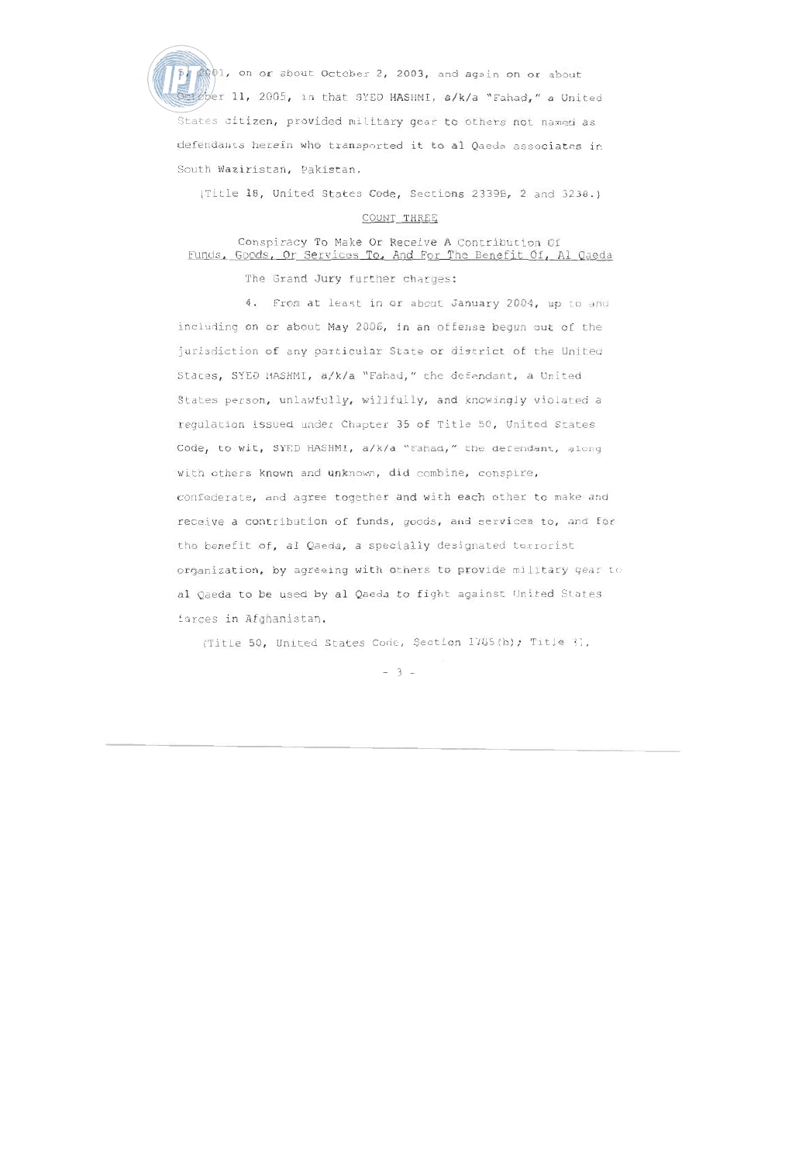p. 2001, on or about October 2, 2003, and again on or about of the 11, 2005, in that SYED HASHMI, a/k/a "Fahad," a United States citizen, provided military gear to others not named as defendants herein who transported it to al Qaeda associates in South Waziristan, Pakistan.

(Title 18, United States Code, Sections 2339B, 2 and 3238.)

### COUNT THREE

# Conspiracy To Make Or Receive A Contribution Of Funds, Goods, Or Services To, And For The Benefit Of, Al Qaeda

The Grand Jury further charges:

4. From at least in or about January 2004, up to and including on or about May 2006, in an offense begun out of the jurisdiction of any particular State or district of the United States, SYED HASHMI, a/k/a "Fahad," the defendant, a United States person, unlawfully, willfully, and knowingly violated a regulation issued under Chapter 35 of Title 50, United States Code, to wit, SYED HASHMI, a/k/a "Fahad," the defendant, along with others known and unknown, did combine, conspire, confederate, and agree together and with each other to make and receive a contribution of funds, goods, and services to, and for the benefit of, al Qaeda, a specially designated terrorist organization, by agreeing with others to provide military gear to al Qaeda to be used by al Qaeda to fight against United States forces in Afghanistan.

(Title 50, United States Code, Section 1705(b); Title 31,

 $-3 -$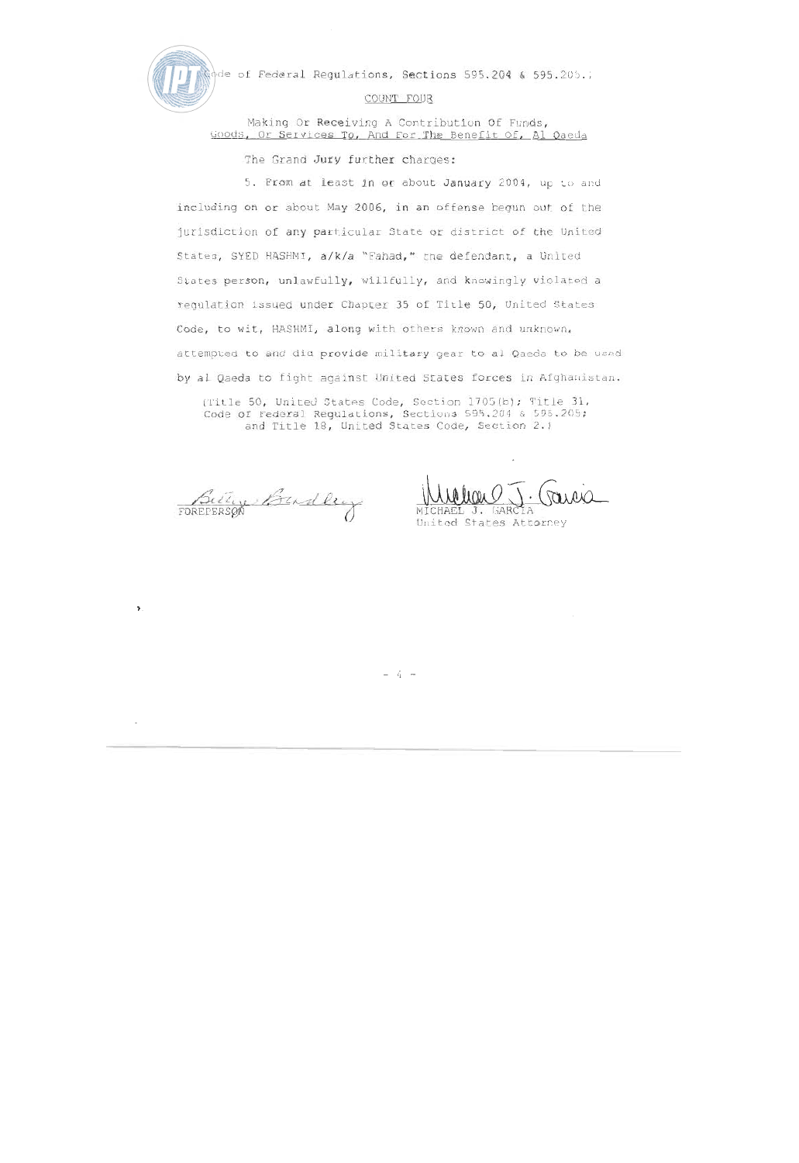

 $\mathbf{\hat{z}}$ 

to of Federal Regulations, Sections 595.204 & 595.205.;

### COUNT FOUR

Making Or Receiving A Contribution Of Funds, Goods, Or Services To, And For The Benefit Of, Al Qaeda

The Grand Jury further charges:

5. From at least in or about January 2004, up to and including on or about May 2006, in an offense begun out of the jurisdiction of any particular State or district of the United States, SYED HASHMI, a/k/a "Fahad," the defendant, a United States person, unlawfully, willfully, and knowingly violated a requlation issued under Chapter 35 of Title 50, United States Code, to wit, HASHMI, along with others known and unknown, attempted to and did provide military gear to al Qaeda to be used by al Oaeda to fight against United States forces in Afghanistan.

(Title 50, United States Code, Section 1705(b); Title 31, Code of Federal Regulations, Sections 595.204 & 595.205; and Title 18, United States Code, Section 2.)

Budley

United States Attorney

 $(i -$